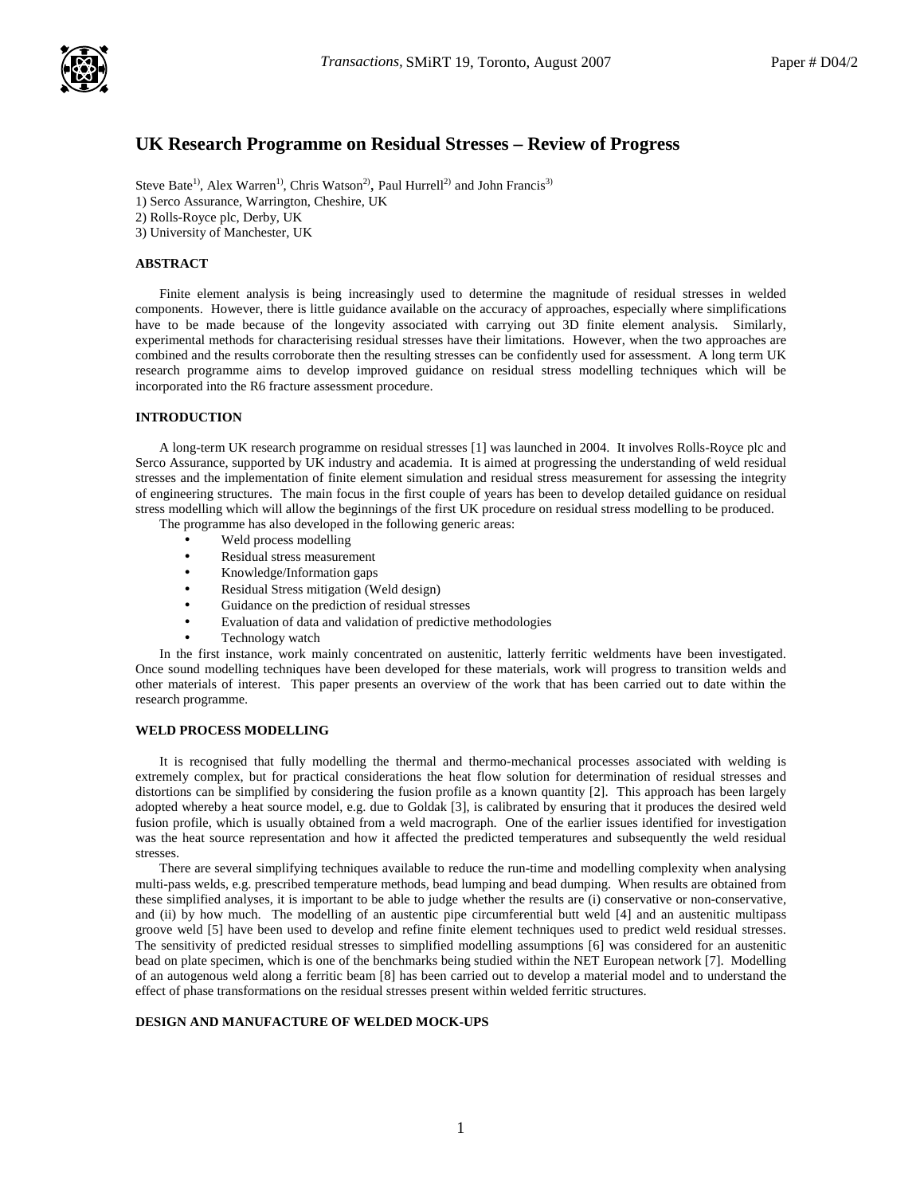

# **UK Research Programme on Residual Stresses – Review of Progress**

Steve Bate<sup>1)</sup>, Alex Warren<sup>1)</sup>, Chris Watson<sup>2)</sup>, Paul Hurrell<sup>2)</sup> and John Francis<sup>3)</sup> 1) Serco Assurance, Warrington, Cheshire, UK 2) Rolls-Royce plc, Derby, UK 3) University of Manchester, UK

#### **ABSTRACT**

Finite element analysis is being increasingly used to determine the magnitude of residual stresses in welded components. However, there is little guidance available on the accuracy of approaches, especially where simplifications have to be made because of the longevity associated with carrying out 3D finite element analysis. Similarly, experimental methods for characterising residual stresses have their limitations. However, when the two approaches are combined and the results corroborate then the resulting stresses can be confidently used for assessment. A long term UK research programme aims to develop improved guidance on residual stress modelling techniques which will be incorporated into the R6 fracture assessment procedure.

#### **INTRODUCTION**

A long-term UK research programme on residual stresses [1] was launched in 2004. It involves Rolls-Royce plc and Serco Assurance, supported by UK industry and academia. It is aimed at progressing the understanding of weld residual stresses and the implementation of finite element simulation and residual stress measurement for assessing the integrity of engineering structures. The main focus in the first couple of years has been to develop detailed guidance on residual stress modelling which will allow the beginnings of the first UK procedure on residual stress modelling to be produced. The programme has also developed in the following generic areas:

- Weld process modelling
- Residual stress measurement
- Knowledge/Information gaps
- Residual Stress mitigation (Weld design)
- Guidance on the prediction of residual stresses
- Evaluation of data and validation of predictive methodologies
- Technology watch

In the first instance, work mainly concentrated on austenitic, latterly ferritic weldments have been investigated. Once sound modelling techniques have been developed for these materials, work will progress to transition welds and other materials of interest. This paper presents an overview of the work that has been carried out to date within the research programme.

# **WELD PROCESS MODELLING**

It is recognised that fully modelling the thermal and thermo-mechanical processes associated with welding is extremely complex, but for practical considerations the heat flow solution for determination of residual stresses and distortions can be simplified by considering the fusion profile as a known quantity [2]. This approach has been largely adopted whereby a heat source model, e.g. due to Goldak [3], is calibrated by ensuring that it produces the desired weld fusion profile, which is usually obtained from a weld macrograph. One of the earlier issues identified for investigation was the heat source representation and how it affected the predicted temperatures and subsequently the weld residual stresses.

There are several simplifying techniques available to reduce the run-time and modelling complexity when analysing multi-pass welds, e.g. prescribed temperature methods, bead lumping and bead dumping. When results are obtained from these simplified analyses, it is important to be able to judge whether the results are (i) conservative or non-conservative, and (ii) by how much. The modelling of an austentic pipe circumferential butt weld [4] and an austenitic multipass groove weld [5] have been used to develop and refine finite element techniques used to predict weld residual stresses. The sensitivity of predicted residual stresses to simplified modelling assumptions [6] was considered for an austenitic bead on plate specimen, which is one of the benchmarks being studied within the NET European network [7]. Modelling of an autogenous weld along a ferritic beam [8] has been carried out to develop a material model and to understand the effect of phase transformations on the residual stresses present within welded ferritic structures.

#### **DESIGN AND MANUFACTURE OF WELDED MOCK-UPS**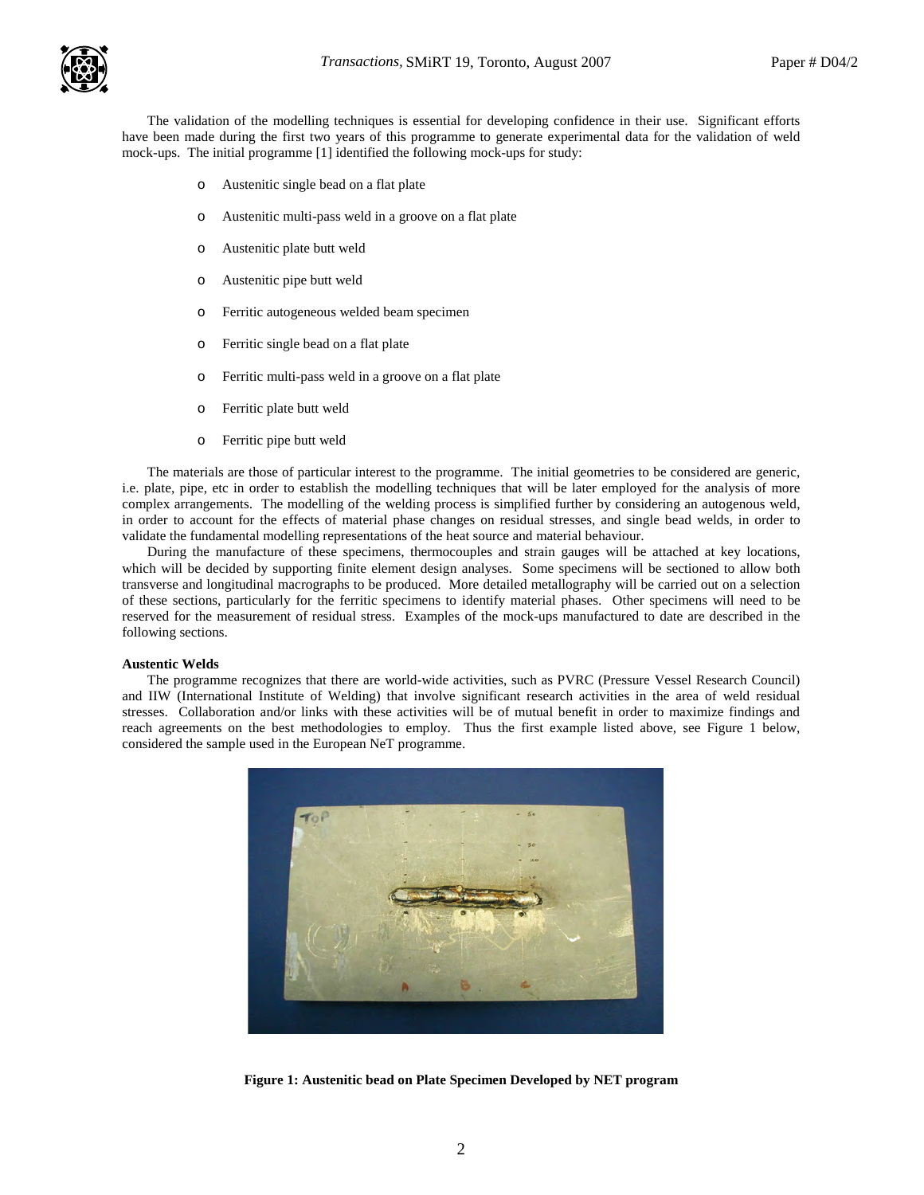

The validation of the modelling techniques is essential for developing confidence in their use. Significant efforts have been made during the first two years of this programme to generate experimental data for the validation of weld mock-ups. The initial programme [1] identified the following mock-ups for study:

- o Austenitic single bead on a flat plate
- o Austenitic multi-pass weld in a groove on a flat plate
- o Austenitic plate butt weld
- o Austenitic pipe butt weld
- o Ferritic autogeneous welded beam specimen
- o Ferritic single bead on a flat plate
- o Ferritic multi-pass weld in a groove on a flat plate
- o Ferritic plate butt weld
- o Ferritic pipe butt weld

The materials are those of particular interest to the programme. The initial geometries to be considered are generic, i.e. plate, pipe, etc in order to establish the modelling techniques that will be later employed for the analysis of more complex arrangements. The modelling of the welding process is simplified further by considering an autogenous weld, in order to account for the effects of material phase changes on residual stresses, and single bead welds, in order to validate the fundamental modelling representations of the heat source and material behaviour.

During the manufacture of these specimens, thermocouples and strain gauges will be attached at key locations, which will be decided by supporting finite element design analyses. Some specimens will be sectioned to allow both transverse and longitudinal macrographs to be produced. More detailed metallography will be carried out on a selection of these sections, particularly for the ferritic specimens to identify material phases. Other specimens will need to be reserved for the measurement of residual stress. Examples of the mock-ups manufactured to date are described in the following sections.

#### **Austentic Welds**

The programme recognizes that there are world-wide activities, such as PVRC (Pressure Vessel Research Council) and IIW (International Institute of Welding) that involve significant research activities in the area of weld residual stresses. Collaboration and/or links with these activities will be of mutual benefit in order to maximize findings and reach agreements on the best methodologies to employ. Thus the first example listed above, see Figure 1 below, considered the sample used in the European NeT programme.



**Figure 1: Austenitic bead on Plate Specimen Developed by NET program**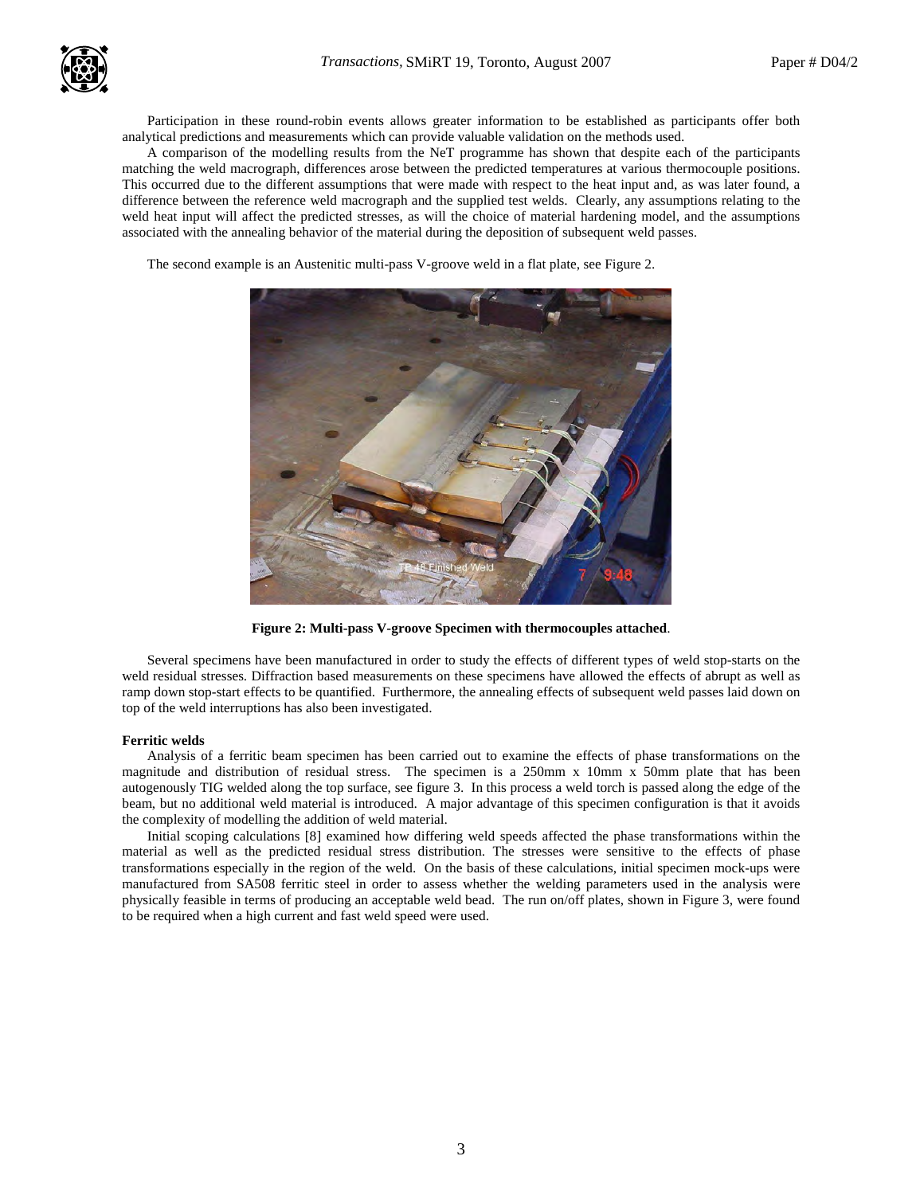

Participation in these round-robin events allows greater information to be established as participants offer both analytical predictions and measurements which can provide valuable validation on the methods used.

A comparison of the modelling results from the NeT programme has shown that despite each of the participants matching the weld macrograph, differences arose between the predicted temperatures at various thermocouple positions. This occurred due to the different assumptions that were made with respect to the heat input and, as was later found, a difference between the reference weld macrograph and the supplied test welds. Clearly, any assumptions relating to the weld heat input will affect the predicted stresses, as will the choice of material hardening model, and the assumptions associated with the annealing behavior of the material during the deposition of subsequent weld passes.

The second example is an Austenitic multi-pass V-groove weld in a flat plate, see Figure 2.



**Figure 2: Multi-pass V-groove Specimen with thermocouples attached**.

Several specimens have been manufactured in order to study the effects of different types of weld stop-starts on the weld residual stresses. Diffraction based measurements on these specimens have allowed the effects of abrupt as well as ramp down stop-start effects to be quantified. Furthermore, the annealing effects of subsequent weld passes laid down on top of the weld interruptions has also been investigated.

#### **Ferritic welds**

Analysis of a ferritic beam specimen has been carried out to examine the effects of phase transformations on the magnitude and distribution of residual stress. The specimen is a 250mm x 10mm x 50mm plate that has been autogenously TIG welded along the top surface, see figure 3. In this process a weld torch is passed along the edge of the beam, but no additional weld material is introduced. A major advantage of this specimen configuration is that it avoids the complexity of modelling the addition of weld material.

Initial scoping calculations [8] examined how differing weld speeds affected the phase transformations within the material as well as the predicted residual stress distribution. The stresses were sensitive to the effects of phase transformations especially in the region of the weld. On the basis of these calculations, initial specimen mock-ups were manufactured from SA508 ferritic steel in order to assess whether the welding parameters used in the analysis were physically feasible in terms of producing an acceptable weld bead. The run on/off plates, shown in Figure 3, were found to be required when a high current and fast weld speed were used.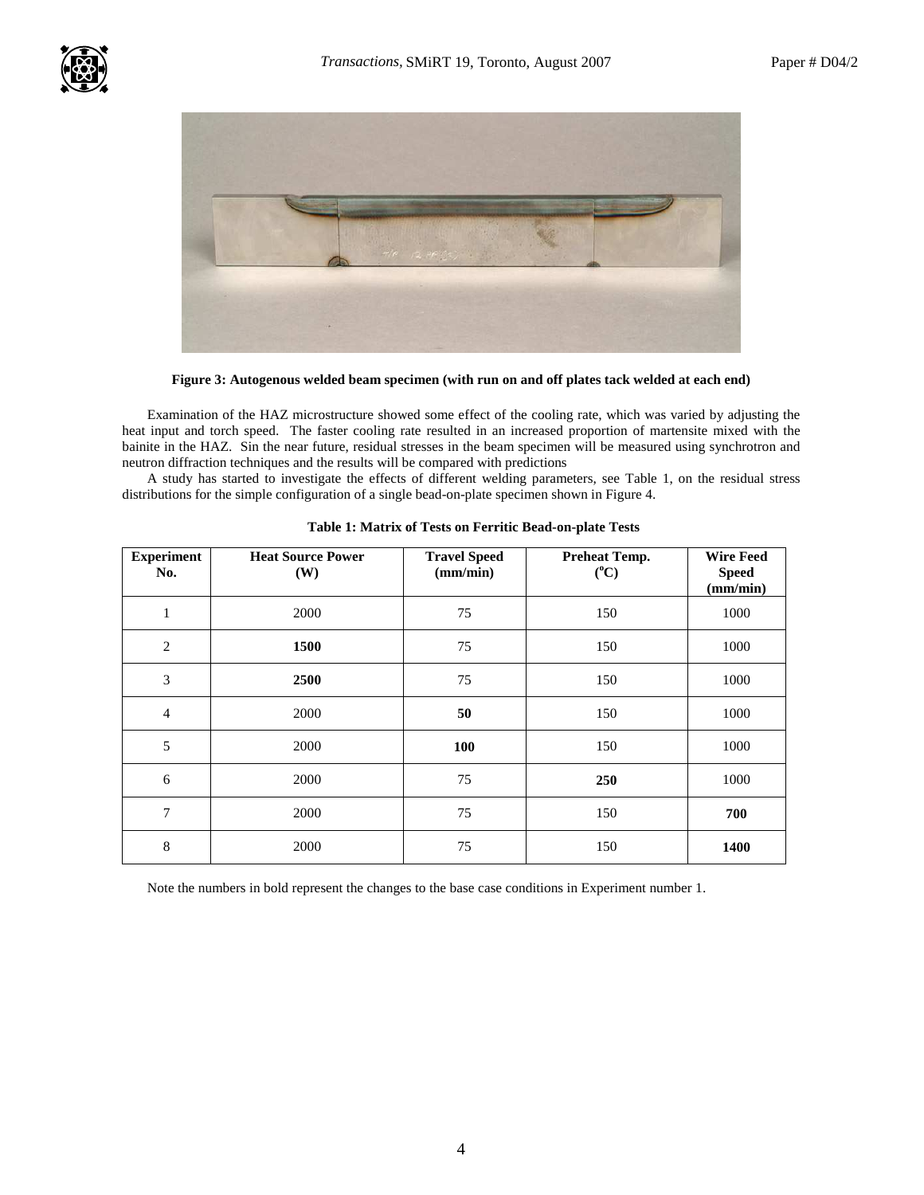

**Figure 3: Autogenous welded beam specimen (with run on and off plates tack welded at each end)**

Examination of the HAZ microstructure showed some effect of the cooling rate, which was varied by adjusting the heat input and torch speed. The faster cooling rate resulted in an increased proportion of martensite mixed with the bainite in the HAZ. Sin the near future, residual stresses in the beam specimen will be measured using synchrotron and neutron diffraction techniques and the results will be compared with predictions

A study has started to investigate the effects of different welding parameters, see Table 1, on the residual stress distributions for the simple configuration of a single bead-on-plate specimen shown in Figure 4.

| <b>Experiment</b><br>No. | <b>Heat Source Power</b><br>(W) | <b>Travel Speed</b><br>(mm/min) | <b>Preheat Temp.</b><br>$(^{\circ}C)$ | <b>Wire Feed</b><br><b>Speed</b><br>(mm/min) |
|--------------------------|---------------------------------|---------------------------------|---------------------------------------|----------------------------------------------|
| $\mathbf{1}$             | 2000                            | 75                              | 150                                   | 1000                                         |
| $\overline{2}$           | 1500                            | 75                              | 150                                   | 1000                                         |
| $\mathfrak{Z}$           | 2500                            | 75                              | 150                                   | 1000                                         |
| $\overline{4}$           | 2000                            | 50                              | 150                                   | 1000                                         |
| 5                        | 2000                            | 100                             | 150                                   | 1000                                         |
| 6                        | 2000                            | 75                              | 250                                   | 1000                                         |
| $\overline{7}$           | 2000                            | 75                              | 150                                   | 700                                          |
| 8                        | 2000                            | 75                              | 150                                   | 1400                                         |

Note the numbers in bold represent the changes to the base case conditions in Experiment number 1.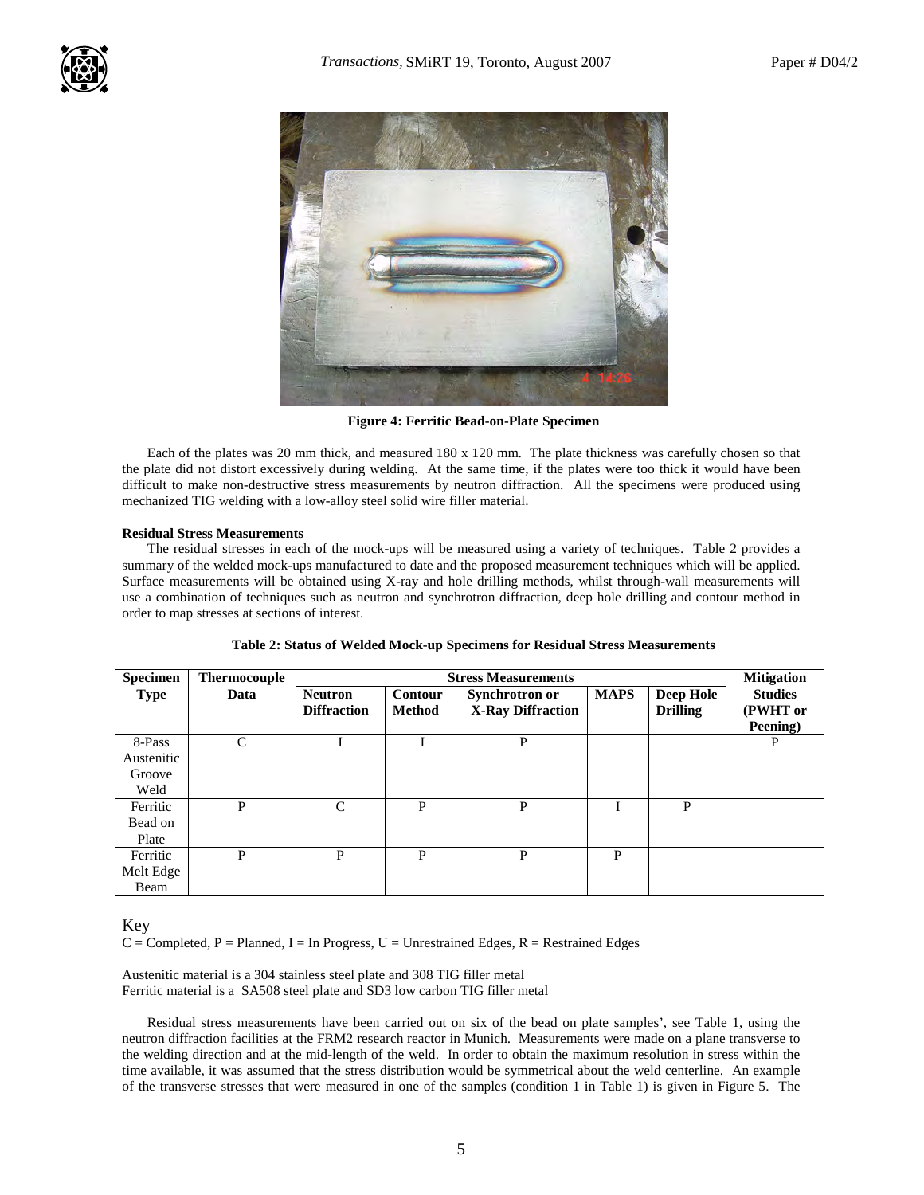![](_page_4_Picture_3.jpeg)

**Figure 4: Ferritic Bead-on-Plate Specimen** 

Each of the plates was 20 mm thick, and measured 180 x 120 mm. The plate thickness was carefully chosen so that the plate did not distort excessively during welding. At the same time, if the plates were too thick it would have been difficult to make non-destructive stress measurements by neutron diffraction. All the specimens were produced using mechanized TIG welding with a low-alloy steel solid wire filler material.

# **Residual Stress Measurements**

The residual stresses in each of the mock-ups will be measured using a variety of techniques. Table 2 provides a summary of the welded mock-ups manufactured to date and the proposed measurement techniques which will be applied. Surface measurements will be obtained using X-ray and hole drilling methods, whilst through-wall measurements will use a combination of techniques such as neutron and synchrotron diffraction, deep hole drilling and contour method in order to map stresses at sections of interest.

| <b>Specimen</b>                        | <b>Thermocouple</b> | <b>Stress Measurements</b>           |                          |                                            |             | <b>Mitigation</b>            |                                        |
|----------------------------------------|---------------------|--------------------------------------|--------------------------|--------------------------------------------|-------------|------------------------------|----------------------------------------|
| <b>Type</b>                            | Data                | <b>Neutron</b><br><b>Diffraction</b> | Contour<br><b>Method</b> | Synchrotron or<br><b>X-Ray Diffraction</b> | <b>MAPS</b> | Deep Hole<br><b>Drilling</b> | <b>Studies</b><br>(PWHT or<br>Peening) |
| 8-Pass<br>Austenitic<br>Groove<br>Weld | $\mathcal{C}$       |                                      |                          | P                                          |             |                              | P                                      |
| Ferritic<br>Bead on<br>Plate           | P                   | C                                    | P                        | P                                          |             | P                            |                                        |
| Ferritic<br>Melt Edge<br>Beam          | P                   | P                                    | P                        | P                                          | P           |                              |                                        |

# Key

 $C =$  Completed, P = Planned, I = In Progress, U = Unrestrained Edges, R = Restrained Edges

Austenitic material is a 304 stainless steel plate and 308 TIG filler metal Ferritic material is a SA508 steel plate and SD3 low carbon TIG filler metal

Residual stress measurements have been carried out on six of the bead on plate samples', see Table 1, using the neutron diffraction facilities at the FRM2 research reactor in Munich. Measurements were made on a plane transverse to the welding direction and at the mid-length of the weld. In order to obtain the maximum resolution in stress within the time available, it was assumed that the stress distribution would be symmetrical about the weld centerline. An example of the transverse stresses that were measured in one of the samples (condition 1 in Table 1) is given in Figure 5. The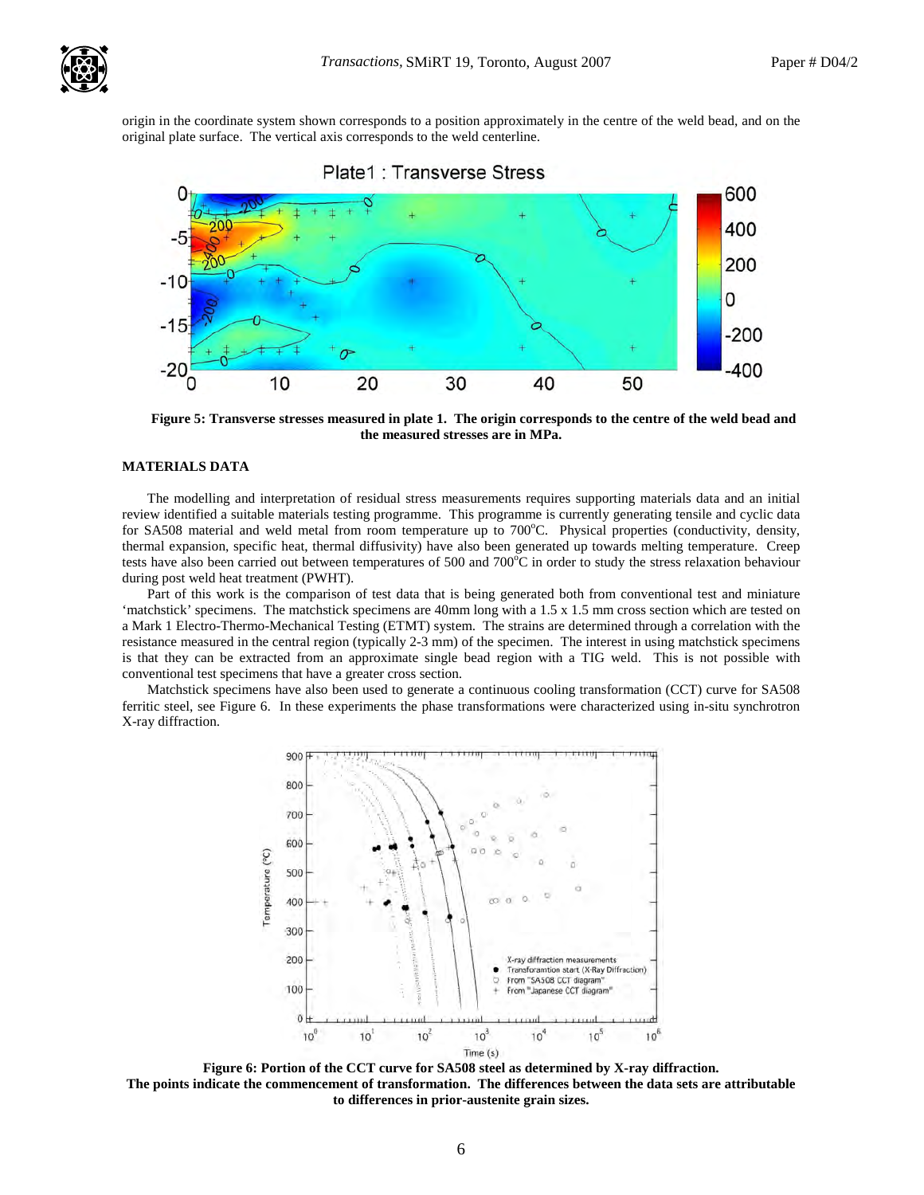![](_page_5_Picture_2.jpeg)

origin in the coordinate system shown corresponds to a position approximately in the centre of the weld bead, and on the original plate surface. The vertical axis corresponds to the weld centerline.

![](_page_5_Figure_4.jpeg)

![](_page_5_Figure_5.jpeg)

**Figure 5: Transverse stresses measured in plate 1. The origin corresponds to the centre of the weld bead and the measured stresses are in MPa.** 

# **MATERIALS DATA**

The modelling and interpretation of residual stress measurements requires supporting materials data and an initial review identified a suitable materials testing programme. This programme is currently generating tensile and cyclic data for SA508 material and weld metal from room temperature up to 700°C. Physical properties (conductivity, density, thermal expansion, specific heat, thermal diffusivity) have also been generated up towards melting temperature. Creep tests have also been carried out between temperatures of 500 and  $700^{\circ}$ C in order to study the stress relaxation behaviour during post weld heat treatment (PWHT).

Part of this work is the comparison of test data that is being generated both from conventional test and miniature 'matchstick' specimens. The matchstick specimens are 40mm long with a 1.5 x 1.5 mm cross section which are tested on a Mark 1 Electro-Thermo-Mechanical Testing (ETMT) system. The strains are determined through a correlation with the resistance measured in the central region (typically 2-3 mm) of the specimen. The interest in using matchstick specimens is that they can be extracted from an approximate single bead region with a TIG weld. This is not possible with conventional test specimens that have a greater cross section.

Matchstick specimens have also been used to generate a continuous cooling transformation (CCT) curve for SA508 ferritic steel, see Figure 6. In these experiments the phase transformations were characterized using in-situ synchrotron X-ray diffraction.

![](_page_5_Figure_11.jpeg)

**Figure 6: Portion of the CCT curve for SA508 steel as determined by X-ray diffraction. The points indicate the commencement of transformation. The differences between the data sets are attributable to differences in prior-austenite grain sizes.**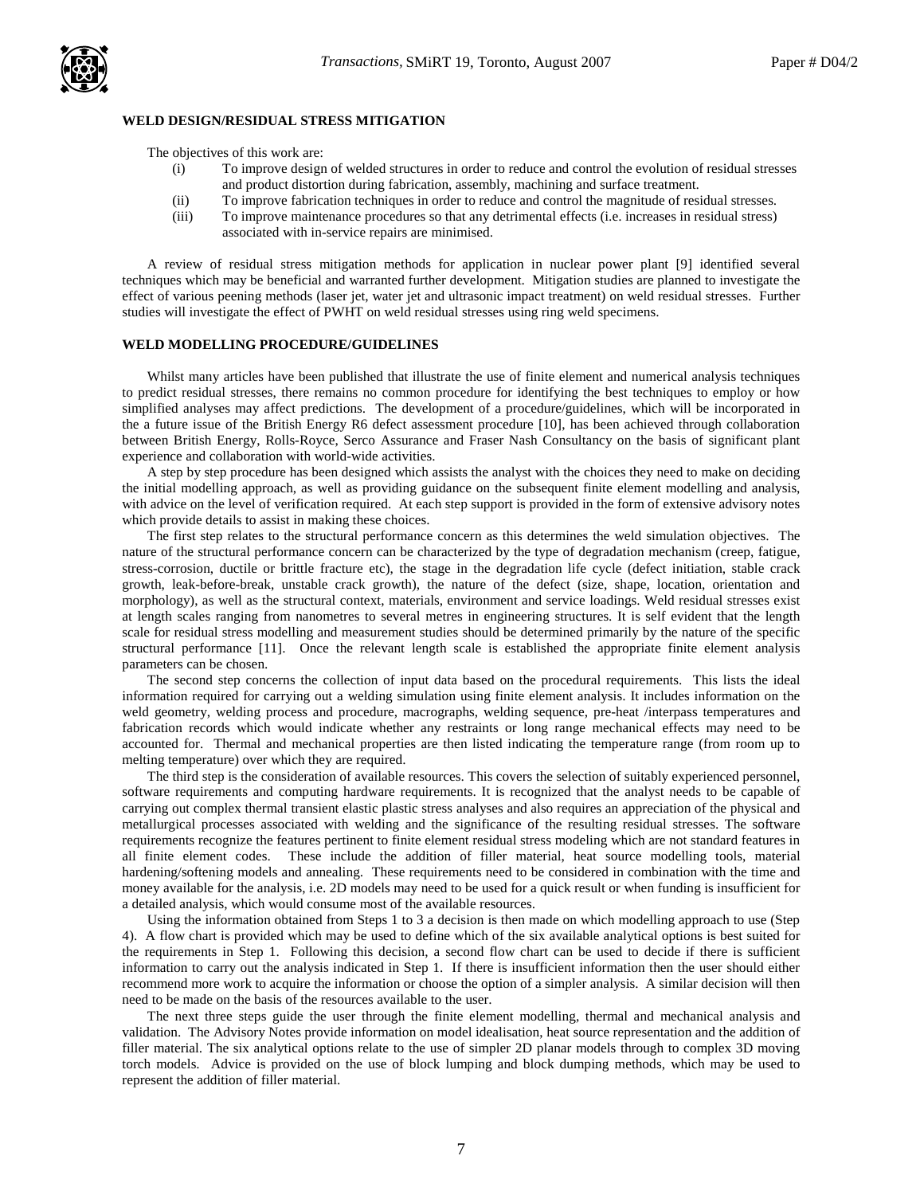# **WELD DESIGN/RESIDUAL STRESS MITIGATION**

The objectives of this work are:

- (i) To improve design of welded structures in order to reduce and control the evolution of residual stresses and product distortion during fabrication, assembly, machining and surface treatment.
- (ii) To improve fabrication techniques in order to reduce and control the magnitude of residual stresses.
- (iii) To improve maintenance procedures so that any detrimental effects (i.e. increases in residual stress) associated with in-service repairs are minimised.

A review of residual stress mitigation methods for application in nuclear power plant [9] identified several techniques which may be beneficial and warranted further development. Mitigation studies are planned to investigate the effect of various peening methods (laser jet, water jet and ultrasonic impact treatment) on weld residual stresses. Further studies will investigate the effect of PWHT on weld residual stresses using ring weld specimens.

## **WELD MODELLING PROCEDURE/GUIDELINES**

Whilst many articles have been published that illustrate the use of finite element and numerical analysis techniques to predict residual stresses, there remains no common procedure for identifying the best techniques to employ or how simplified analyses may affect predictions. The development of a procedure/guidelines, which will be incorporated in the a future issue of the British Energy R6 defect assessment procedure [10], has been achieved through collaboration between British Energy, Rolls-Royce, Serco Assurance and Fraser Nash Consultancy on the basis of significant plant experience and collaboration with world-wide activities.

A step by step procedure has been designed which assists the analyst with the choices they need to make on deciding the initial modelling approach, as well as providing guidance on the subsequent finite element modelling and analysis, with advice on the level of verification required. At each step support is provided in the form of extensive advisory notes which provide details to assist in making these choices.

The first step relates to the structural performance concern as this determines the weld simulation objectives. The nature of the structural performance concern can be characterized by the type of degradation mechanism (creep, fatigue, stress-corrosion, ductile or brittle fracture etc), the stage in the degradation life cycle (defect initiation, stable crack growth, leak-before-break, unstable crack growth), the nature of the defect (size, shape, location, orientation and morphology), as well as the structural context, materials, environment and service loadings. Weld residual stresses exist at length scales ranging from nanometres to several metres in engineering structures. It is self evident that the length scale for residual stress modelling and measurement studies should be determined primarily by the nature of the specific structural performance [11]. Once the relevant length scale is established the appropriate finite element analysis parameters can be chosen.

The second step concerns the collection of input data based on the procedural requirements. This lists the ideal information required for carrying out a welding simulation using finite element analysis. It includes information on the weld geometry, welding process and procedure, macrographs, welding sequence, pre-heat /interpass temperatures and fabrication records which would indicate whether any restraints or long range mechanical effects may need to be accounted for. Thermal and mechanical properties are then listed indicating the temperature range (from room up to melting temperature) over which they are required.

The third step is the consideration of available resources. This covers the selection of suitably experienced personnel, software requirements and computing hardware requirements. It is recognized that the analyst needs to be capable of carrying out complex thermal transient elastic plastic stress analyses and also requires an appreciation of the physical and metallurgical processes associated with welding and the significance of the resulting residual stresses. The software requirements recognize the features pertinent to finite element residual stress modeling which are not standard features in all finite element codes. These include the addition of filler material, heat source modelling tools, material hardening/softening models and annealing. These requirements need to be considered in combination with the time and money available for the analysis, i.e. 2D models may need to be used for a quick result or when funding is insufficient for a detailed analysis, which would consume most of the available resources.

Using the information obtained from Steps 1 to 3 a decision is then made on which modelling approach to use (Step 4). A flow chart is provided which may be used to define which of the six available analytical options is best suited for the requirements in Step 1. Following this decision, a second flow chart can be used to decide if there is sufficient information to carry out the analysis indicated in Step 1. If there is insufficient information then the user should either recommend more work to acquire the information or choose the option of a simpler analysis. A similar decision will then need to be made on the basis of the resources available to the user.

The next three steps guide the user through the finite element modelling, thermal and mechanical analysis and validation. The Advisory Notes provide information on model idealisation, heat source representation and the addition of filler material. The six analytical options relate to the use of simpler 2D planar models through to complex 3D moving torch models. Advice is provided on the use of block lumping and block dumping methods, which may be used to represent the addition of filler material.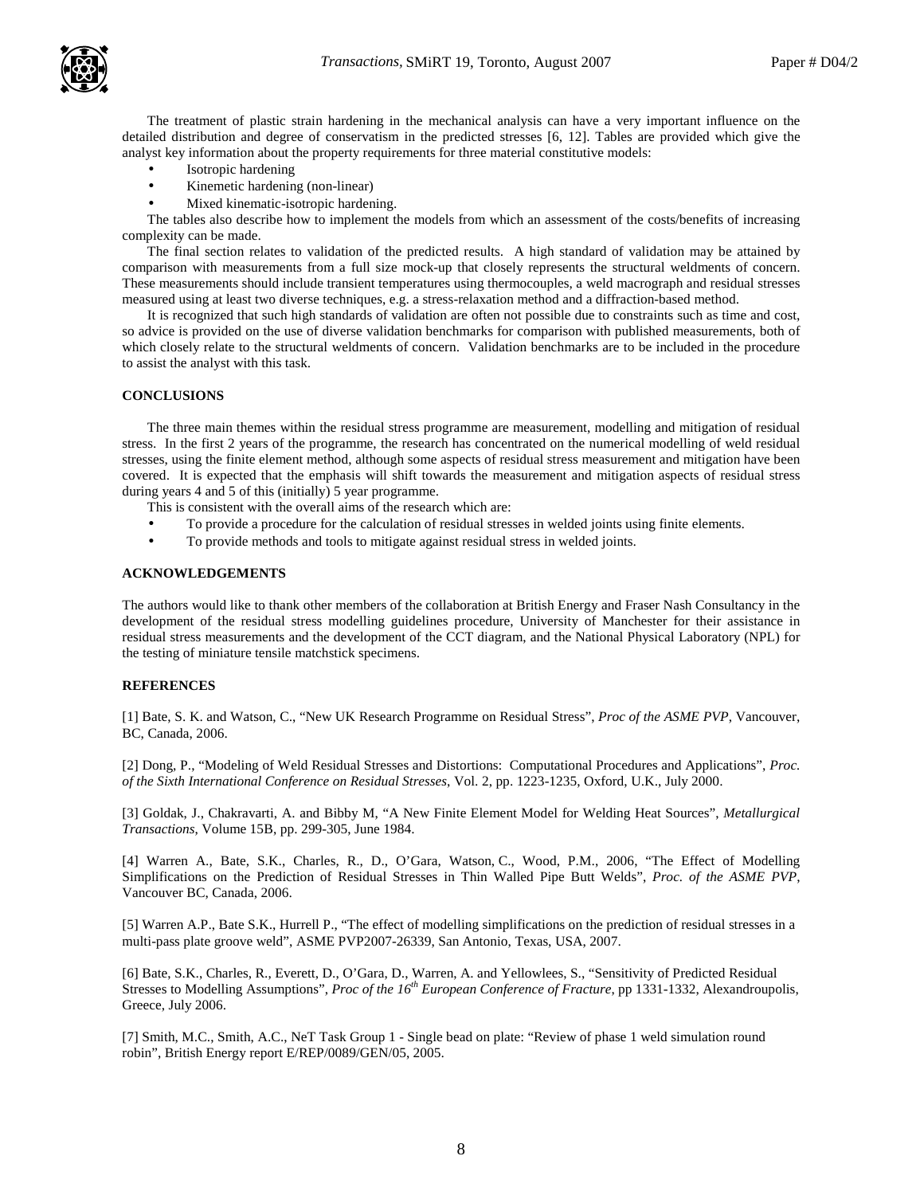The treatment of plastic strain hardening in the mechanical analysis can have a very important influence on the detailed distribution and degree of conservatism in the predicted stresses [6, 12]. Tables are provided which give the analyst key information about the property requirements for three material constitutive models:

- Isotropic hardening
- Kinemetic hardening (non-linear)
- Mixed kinematic-isotropic hardening.

The tables also describe how to implement the models from which an assessment of the costs/benefits of increasing complexity can be made.

The final section relates to validation of the predicted results. A high standard of validation may be attained by comparison with measurements from a full size mock-up that closely represents the structural weldments of concern. These measurements should include transient temperatures using thermocouples, a weld macrograph and residual stresses measured using at least two diverse techniques, e.g. a stress-relaxation method and a diffraction-based method.

It is recognized that such high standards of validation are often not possible due to constraints such as time and cost, so advice is provided on the use of diverse validation benchmarks for comparison with published measurements, both of which closely relate to the structural weldments of concern. Validation benchmarks are to be included in the procedure to assist the analyst with this task.

## **CONCLUSIONS**

The three main themes within the residual stress programme are measurement, modelling and mitigation of residual stress. In the first 2 years of the programme, the research has concentrated on the numerical modelling of weld residual stresses, using the finite element method, although some aspects of residual stress measurement and mitigation have been covered. It is expected that the emphasis will shift towards the measurement and mitigation aspects of residual stress during years 4 and 5 of this (initially) 5 year programme.

This is consistent with the overall aims of the research which are:

- To provide a procedure for the calculation of residual stresses in welded joints using finite elements.
- To provide methods and tools to mitigate against residual stress in welded joints.

## **ACKNOWLEDGEMENTS**

The authors would like to thank other members of the collaboration at British Energy and Fraser Nash Consultancy in the development of the residual stress modelling guidelines procedure, University of Manchester for their assistance in residual stress measurements and the development of the CCT diagram, and the National Physical Laboratory (NPL) for the testing of miniature tensile matchstick specimens.

# **REFERENCES**

[1] Bate, S. K. and Watson, C., "New UK Research Programme on Residual Stress", *Proc of the ASME PVP*, Vancouver, BC, Canada, 2006.

[2] Dong, P., "Modeling of Weld Residual Stresses and Distortions: Computational Procedures and Applications", *Proc. of the Sixth International Conference on Residual Stresses*, Vol. 2, pp. 1223-1235, Oxford, U.K., July 2000.

[3] Goldak, J., Chakravarti, A. and Bibby M, "A New Finite Element Model for Welding Heat Sources", *Metallurgical Transactions*, Volume 15B, pp. 299-305, June 1984.

[4] Warren A., Bate, S.K., Charles, R., D., O'Gara, Watson, C., Wood, P.M., 2006, "The Effect of Modelling Simplifications on the Prediction of Residual Stresses in Thin Walled Pipe Butt Welds", *Proc. of the ASME PVP*, Vancouver BC, Canada, 2006.

[5] Warren A.P., Bate S.K., Hurrell P., "The effect of modelling simplifications on the prediction of residual stresses in a multi-pass plate groove weld", ASME PVP2007-26339, San Antonio, Texas, USA, 2007.

[6] Bate, S.K., Charles, R., Everett, D., O'Gara, D., Warren, A. and Yellowlees, S., "Sensitivity of Predicted Residual Stresses to Modelling Assumptions", *Proc of the 16th European Conference of Fracture*, pp 1331-1332, Alexandroupolis, Greece, July 2006.

[7] Smith, M.C., Smith, A.C., NeT Task Group 1 - Single bead on plate: "Review of phase 1 weld simulation round robin", British Energy report E/REP/0089/GEN/05, 2005.